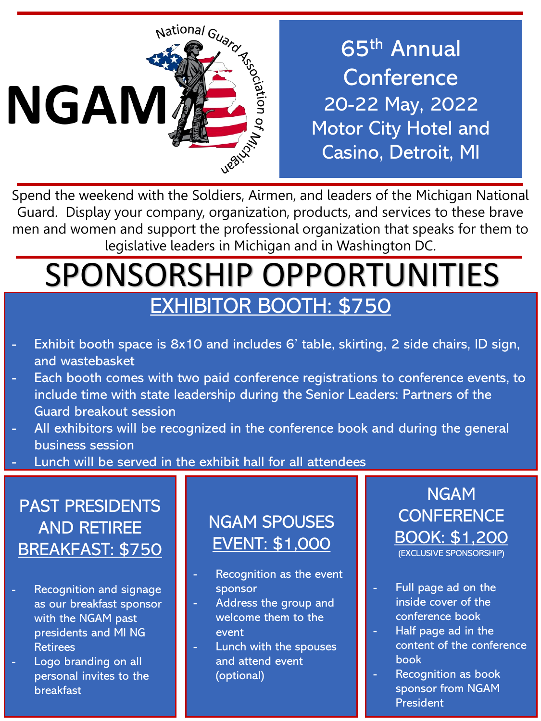

65th Annual **Conference** 20-22 May, 2022 Motor City Hotel and Casino, Detroit, MI

Spend the weekend with the Soldiers, Airmen, and leaders of the Michigan National Guard. Display your company, organization, products, and services to these brave men and women and support the professional organization that speaks for them to legislative leaders in Michigan and in Washington DC.

# SPONSORSHIP OPPORTUNITIES EXHIBITOR BOOTH: \$750

- Exhibit booth space is 8x10 and includes 6' table, skirting, 2 side chairs, ID sign, and wastebasket
- Each booth comes with two paid conference registrations to conference events, to include time with state leadership during the Senior Leaders: Partners of the Guard breakout session
- All exhibitors will be recognized in the conference book and during the general business session
- Lunch will be served in the exhibit hall for all attendees

## PAST PRESIDENTS AND RETIREE BREAKFAST: \$750

- Recognition and signage as our breakfast sponsor with the NGAM past presidents and MI NG Retirees
- Logo branding on all personal invites to the breakfast

### NGAM SPOUSES EVENT: \$1,000

- Recognition as the event sponsor
- Address the group and welcome them to the event
- Lunch with the spouses and attend event (optional)

#### NGAM **CONFERENCE** BOOK: \$1,200 (EXCLUSIVE SPONSORSHIP)

- Full page ad on the inside cover of the conference book
- Half page ad in the content of the conference book
- Recognition as book sponsor from NGAM President